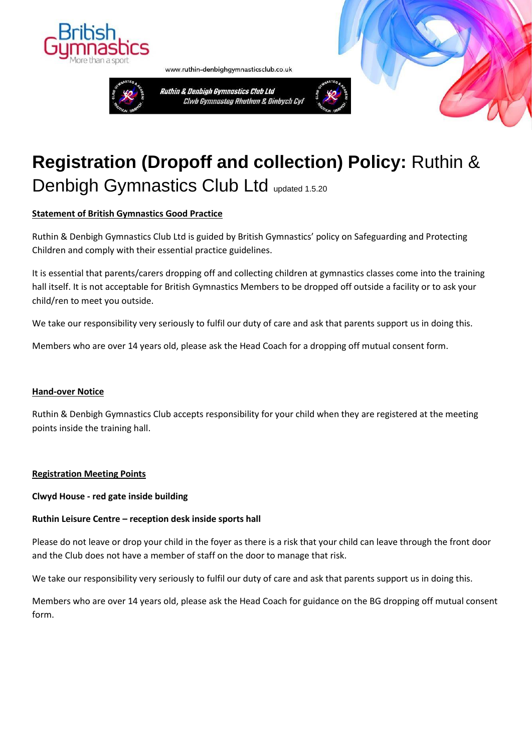



Ruthin & Denbigh Gymnastics Club Ltd Clwb Gymnasteg Rhuthun & Dinbych Cyl

www.ruthin-denbighgymnasticsclub.co.uk



# **Registration (Dropoff and collection) Policy:** Ruthin & Denbigh Gymnastics Club Ltd updated 1.5.20

## **Statement of British Gymnastics Good Practice**

Ruthin & Denbigh Gymnastics Club Ltd is guided by British Gymnastics' policy on Safeguarding and Protecting Children and comply with their essential practice guidelines.

It is essential that parents/carers dropping off and collecting children at gymnastics classes come into the training hall itself. It is not acceptable for British Gymnastics Members to be dropped off outside a facility or to ask your child/ren to meet you outside.

We take our responsibility very seriously to fulfil our duty of care and ask that parents support us in doing this.

Members who are over 14 years old, please ask the Head Coach for a dropping off mutual consent form.

#### **Hand-over Notice**

Ruthin & Denbigh Gymnastics Club accepts responsibility for your child when they are registered at the meeting points inside the training hall.

#### **Registration Meeting Points**

#### **Clwyd House - red gate inside building**

### **Ruthin Leisure Centre – reception desk inside sports hall**

Please do not leave or drop your child in the foyer as there is a risk that your child can leave through the front door and the Club does not have a member of staff on the door to manage that risk.

We take our responsibility very seriously to fulfil our duty of care and ask that parents support us in doing this.

Members who are over 14 years old, please ask the Head Coach for guidance on the BG dropping off mutual consent form.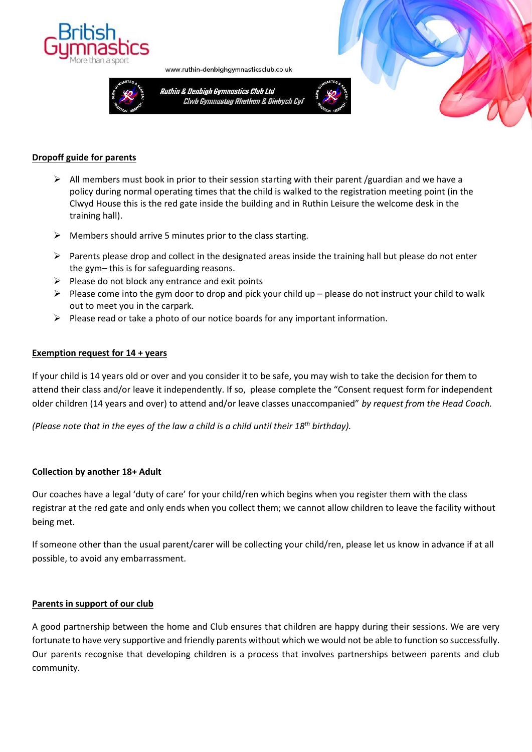

Ruthin & Denbigh Gymnastics Club Ltd

Clwb Gymnasteg Rhuthun & Dinbych Cyl

www.ruthin-denbighgymnasticsclub.co.uk





- $\triangleright$  All members must book in prior to their session starting with their parent /guardian and we have a policy during normal operating times that the child is walked to the registration meeting point (in the Clwyd House this is the red gate inside the building and in Ruthin Leisure the welcome desk in the training hall).
- $\triangleright$  Members should arrive 5 minutes prior to the class starting.
- $\triangleright$  Parents please drop and collect in the designated areas inside the training hall but please do not enter the gym– this is for safeguarding reasons.
- $\triangleright$  Please do not block any entrance and exit points
- $\triangleright$  Please come into the gym door to drop and pick your child up please do not instruct your child to walk out to meet you in the carpark.
- ➢ Please read or take a photo of our notice boards for any important information.

#### **Exemption request for 14 + years**

If your child is 14 years old or over and you consider it to be safe, you may wish to take the decision for them to attend their class and/or leave it independently. If so, please complete the "Consent request form for independent older children (14 years and over) to attend and/or leave classes unaccompanied" *by request from the Head Coach.* 

*(Please note that in the eyes of the law a child is a child until their 18th birthday).*

#### **Collection by another 18+ Adult**

Our coaches have a legal 'duty of care' for your child/ren which begins when you register them with the class registrar at the red gate and only ends when you collect them; we cannot allow children to leave the facility without being met.

If someone other than the usual parent/carer will be collecting your child/ren, please let us know in advance if at all possible, to avoid any embarrassment.

#### **Parents in support of our club**

A good partnership between the home and Club ensures that children are happy during their sessions. We are very fortunate to have very supportive and friendly parents without which we would not be able to function so successfully. Our parents recognise that developing children is a process that involves partnerships between parents and club community.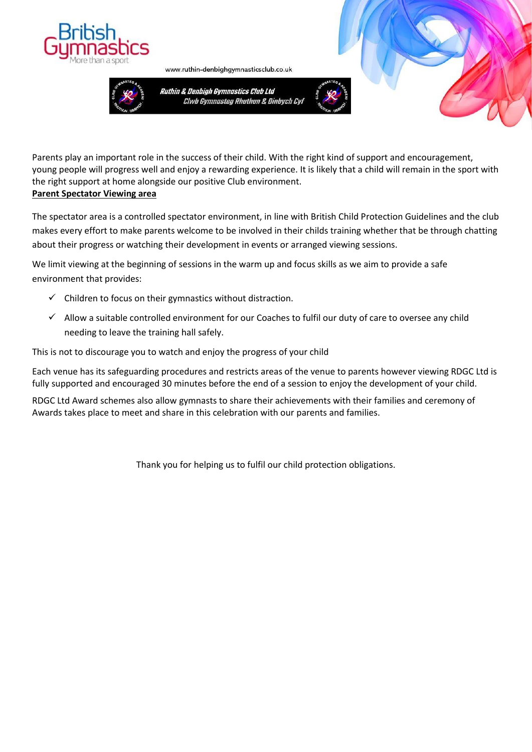

www.ruthin-denbighgymnasticsclub.co.uk



Ruthin & Denbigh Gymnastics Club Ltd Clwb Gymnasteg Rhuthun & Dinbych Cyl



Parents play an important role in the success of their child. With the right kind of support and encouragement, young people will progress well and enjoy a rewarding experience. It is likely that a child will remain in the sport with the right support at home alongside our positive Club environment. **Parent Spectator Viewing area**

The spectator area is a controlled spectator environment, in line with British Child Protection Guidelines and the club makes every effort to make parents welcome to be involved in their childs training whether that be through chatting about their progress or watching their development in events or arranged viewing sessions.

We limit viewing at the beginning of sessions in the warm up and focus skills as we aim to provide a safe environment that provides:

- $\checkmark$  Children to focus on their gymnastics without distraction.
- $\checkmark$  Allow a suitable controlled environment for our Coaches to fulfil our duty of care to oversee any child needing to leave the training hall safely.

This is not to discourage you to watch and enjoy the progress of your child

Each venue has its safeguarding procedures and restricts areas of the venue to parents however viewing RDGC Ltd is fully supported and encouraged 30 minutes before the end of a session to enjoy the development of your child.

RDGC Ltd Award schemes also allow gymnasts to share their achievements with their families and ceremony of Awards takes place to meet and share in this celebration with our parents and families.

Thank you for helping us to fulfil our child protection obligations.